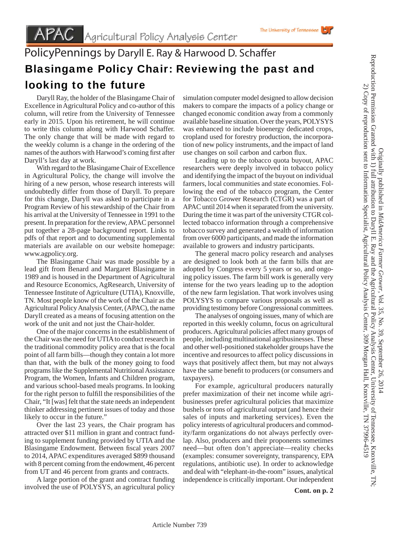Daryll Ray, the holder of the Blasingame Chair of Excellence in Agricultural Policy and co-author of this column, will retire from the University of Tennessee early in 2015. Upon his retirement, he will continue to write this column along with Harwood Schaffer. The only change that will be made with regard to the weekly column is a change in the ordering of the names of the authors with Harwood's coming first after Daryll's last day at work.

 With regard to the Blasingame Chair of Excellence in Agricultural Policy, the change will involve the hiring of a new person, whose research interests will undoubtedly differ from those of Daryll. To prepare for this change, Daryll was asked to participate in a Program Review of his stewardship of the Chair from his arrival at the University of Tennessee in 1991 to the present. In preparation for the review, APAC personnel put together a 28-page background report. Links to pdfs of that report and to documenting supplemental materials are available on our website homepage: www.agpolicy.org.

 The Blasingame Chair was made possible by a lead gift from Benard and Margaret Blasingame in 1989 and is housed in the Department of Agricultural and Resource Economics, AgResearch, University of Tennessee Institute of Agriculture (UTIA), Knoxville, TN. Most people know of the work of the Chair as the Agricultural Policy Analysis Center, (APAC), the name Daryll created as a means of focusing attention on the work of the unit and not just the Chair-holder.

 One of the major concerns in the establishment of the Chair was the need for UTIA to conduct research in the traditional commodity policy area that is the focal point of all farm bills—though they contain a lot more than that, with the bulk of the money going to food programs like the Supplemental Nutritional Assistance Program, the Women, Infants and Children program, and various school-based meals programs. In looking for the right person to fulfill the responsibilities of the Chair, "It [was] felt that the state needs an independent thinker addressing pertinent issues of today and those likely to occur in the future."

 Over the last 23 years, the Chair program has attracted over \$11 million in grant and contract funding to supplement funding provided by UTIA and the Blasingame Endowment. Between fiscal years 2007 to 2014, APAC expenditures averaged \$899 thousand with 8 percent coming from the endowment, 46 percent from UT and 46 percent from grants and contracts.

 A large portion of the grant and contract funding involved the use of POLYSYS, an agricultural policy

simulation computer model designed to allow decision makers to compare the impacts of a policy change or changed economic condition away from a commonly available baseline situation. Over the years, POLYSYS was enhanced to include bioenergy dedicated crops, cropland used for forestry production, the incorporation of new policy instruments, and the impact of land use changes on soil carbon and carbon flux.

 Leading up to the tobacco quota buyout, APAC researchers were deeply involved in tobacco policy and identifying the impact of the buyout on individual farmers, local communities and state economies. Following the end of the tobacco program, the Center for Tobacco Grower Research (CTGR) was a part of APAC until 2014 when it separated from the university. During the time it was part of the university CTGR collected tobacco information through a comprehensive tobacco survey and generated a wealth of information from over 6000 participants, and made the information available to growers and industry participants.

 The general macro policy research and analyses are designed to look both at the farm bills that are adopted by Congress every 5 years or so, and ongoing policy issues. The farm bill work is generally very intense for the two years leading up to the adoption of the new farm legislation. That work involves using POLYSYS to compare various proposals as well as providing testimony before Congressional committees.

 The analyses of ongoing issues, many of which are reported in this weekly column, focus on agricultural producers. Agricultural policies affect many groups of people, including multinational agribusinesses. These and other well-positioned stakeholder groups have the incentive and resources to affect policy discussions in ways that positively affect them, but may not always have the same benefit to producers (or consumers and taxpayers).

 For example, agricultural producers naturally prefer maximization of their net income while agribusinesses prefer agricultural policies that maximize bushels or tons of agricultural output (and hence their sales of inputs and marketing services). Even the policy interests of agricultural producers and commodity/farm organizations do not always perfectly overlap. Also, producers and their proponents sometimes need—but often don't appreciate—reality checks (examples: consumer sovereignty, transparency, EPA regulations, antibiotic use). In order to acknowledge and deal with "elephant-in-the-room" issues, analytical independence is critically important. Our independent